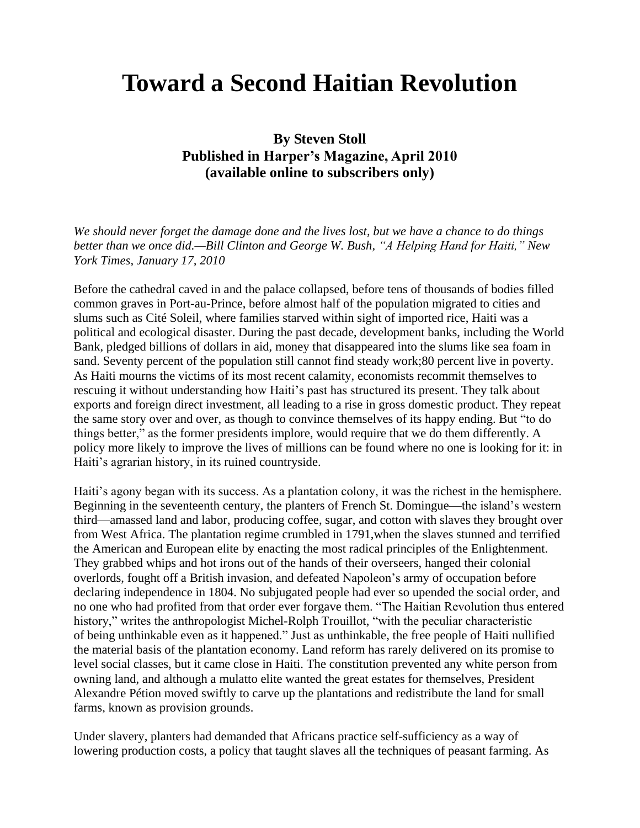## **Toward a Second Haitian Revolution**

**By Steven Stoll Published in Harper's Magazine, April 2010 (available online to subscribers only)**

*We should never forget the damage done and the lives lost, but we have a chance to do things better than we once did.—Bill Clinton and George W. Bush, "A Helping Hand for Haiti," New York Times, January 17, 2010*

Before the cathedral caved in and the palace collapsed, before tens of thousands of bodies filled common graves in Port-au-Prince, before almost half of the population migrated to cities and slums such as Cité Soleil, where families starved within sight of imported rice, Haiti was a political and ecological disaster. During the past decade, development banks, including the World Bank, pledged billions of dollars in aid, money that disappeared into the slums like sea foam in sand. Seventy percent of the population still cannot find steady work;80 percent live in poverty. As Haiti mourns the victims of its most recent calamity, economists recommit themselves to rescuing it without understanding how Haiti's past has structured its present. They talk about exports and foreign direct investment, all leading to a rise in gross domestic product. They repeat the same story over and over, as though to convince themselves of its happy ending. But "to do things better," as the former presidents implore, would require that we do them differently. A policy more likely to improve the lives of millions can be found where no one is looking for it: in Haiti's agrarian history, in its ruined countryside.

Haiti's agony began with its success. As a plantation colony, it was the richest in the hemisphere. Beginning in the seventeenth century, the planters of French St. Domingue—the island"s western third—amassed land and labor, producing coffee, sugar, and cotton with slaves they brought over from West Africa. The plantation regime crumbled in 1791,when the slaves stunned and terrified the American and European elite by enacting the most radical principles of the Enlightenment. They grabbed whips and hot irons out of the hands of their overseers, hanged their colonial overlords, fought off a British invasion, and defeated Napoleon"s army of occupation before declaring independence in 1804. No subjugated people had ever so upended the social order, and no one who had profited from that order ever forgave them. "The Haitian Revolution thus entered history," writes the anthropologist Michel-Rolph Trouillot, "with the peculiar characteristic of being unthinkable even as it happened." Just as unthinkable, the free people of Haiti nullified the material basis of the plantation economy. Land reform has rarely delivered on its promise to level social classes, but it came close in Haiti. The constitution prevented any white person from owning land, and although a mulatto elite wanted the great estates for themselves, President Alexandre Pétion moved swiftly to carve up the plantations and redistribute the land for small farms, known as provision grounds.

Under slavery, planters had demanded that Africans practice self-sufficiency as a way of lowering production costs, a policy that taught slaves all the techniques of peasant farming. As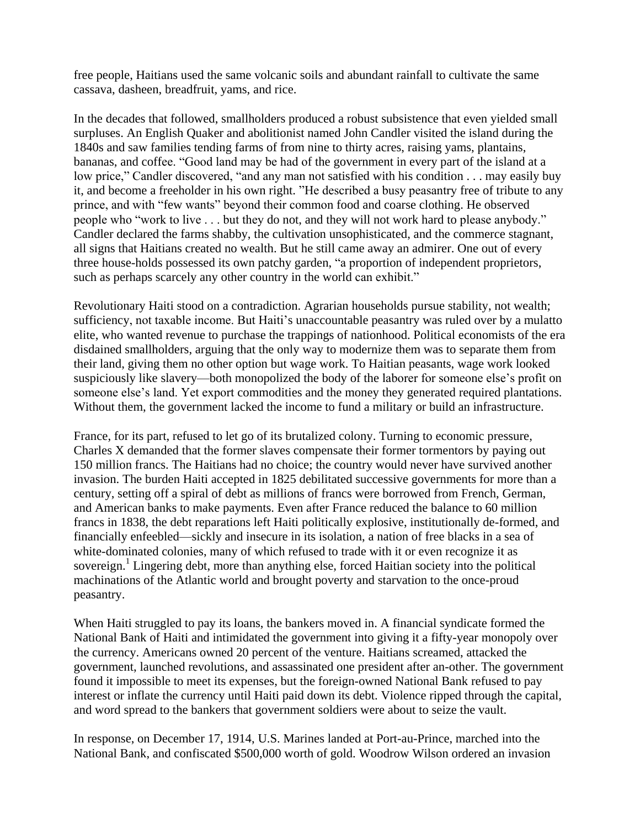free people, Haitians used the same volcanic soils and abundant rainfall to cultivate the same cassava, dasheen, breadfruit, yams, and rice.

In the decades that followed, smallholders produced a robust subsistence that even yielded small surpluses. An English Quaker and abolitionist named John Candler visited the island during the 1840s and saw families tending farms of from nine to thirty acres, raising yams, plantains, bananas, and coffee. "Good land may be had of the government in every part of the island at a low price," Candler discovered, "and any man not satisfied with his condition . . . may easily buy it, and become a freeholder in his own right. "He described a busy peasantry free of tribute to any prince, and with "few wants" beyond their common food and coarse clothing. He observed people who "work to live . . . but they do not, and they will not work hard to please anybody." Candler declared the farms shabby, the cultivation unsophisticated, and the commerce stagnant, all signs that Haitians created no wealth. But he still came away an admirer. One out of every three house-holds possessed its own patchy garden, "a proportion of independent proprietors, such as perhaps scarcely any other country in the world can exhibit."

Revolutionary Haiti stood on a contradiction. Agrarian households pursue stability, not wealth; sufficiency, not taxable income. But Haiti's unaccountable peasantry was ruled over by a mulatto elite, who wanted revenue to purchase the trappings of nationhood. Political economists of the era disdained smallholders, arguing that the only way to modernize them was to separate them from their land, giving them no other option but wage work. To Haitian peasants, wage work looked suspiciously like slavery—both monopolized the body of the laborer for someone else"s profit on someone else's land. Yet export commodities and the money they generated required plantations. Without them, the government lacked the income to fund a military or build an infrastructure.

France, for its part, refused to let go of its brutalized colony. Turning to economic pressure, Charles X demanded that the former slaves compensate their former tormentors by paying out 150 million francs. The Haitians had no choice; the country would never have survived another invasion. The burden Haiti accepted in 1825 debilitated successive governments for more than a century, setting off a spiral of debt as millions of francs were borrowed from French, German, and American banks to make payments. Even after France reduced the balance to 60 million francs in 1838, the debt reparations left Haiti politically explosive, institutionally de-formed, and financially enfeebled—sickly and insecure in its isolation, a nation of free blacks in a sea of white-dominated colonies, many of which refused to trade with it or even recognize it as sovereign.<sup>1</sup> Lingering debt, more than anything else, forced Haitian society into the political machinations of the Atlantic world and brought poverty and starvation to the once-proud peasantry.

When Haiti struggled to pay its loans, the bankers moved in. A financial syndicate formed the National Bank of Haiti and intimidated the government into giving it a fifty-year monopoly over the currency. Americans owned 20 percent of the venture. Haitians screamed, attacked the government, launched revolutions, and assassinated one president after an-other. The government found it impossible to meet its expenses, but the foreign-owned National Bank refused to pay interest or inflate the currency until Haiti paid down its debt. Violence ripped through the capital, and word spread to the bankers that government soldiers were about to seize the vault.

In response, on December 17, 1914, U.S. Marines landed at Port-au-Prince, marched into the National Bank, and confiscated \$500,000 worth of gold. Woodrow Wilson ordered an invasion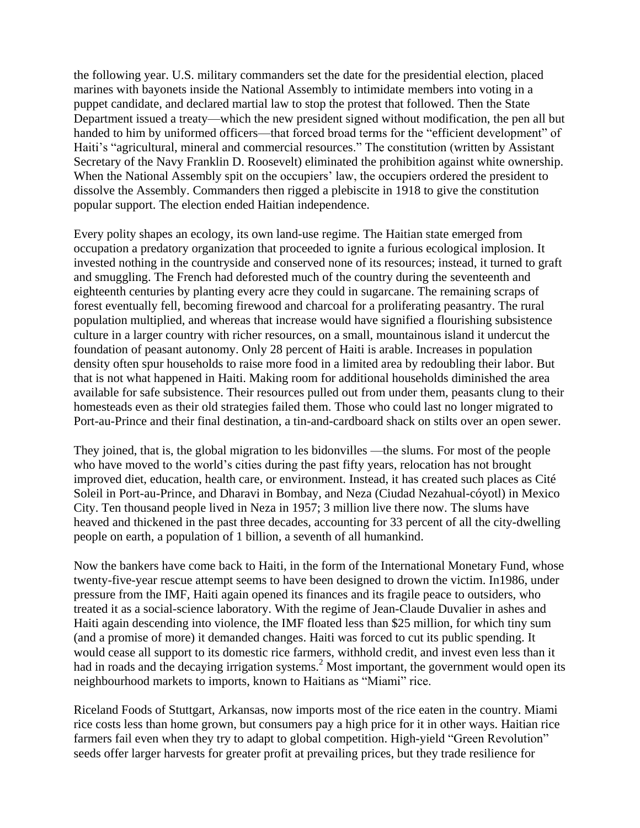the following year. U.S. military commanders set the date for the presidential election, placed marines with bayonets inside the National Assembly to intimidate members into voting in a puppet candidate, and declared martial law to stop the protest that followed. Then the State Department issued a treaty—which the new president signed without modification, the pen all but handed to him by uniformed officers—that forced broad terms for the "efficient development" of Haiti's "agricultural, mineral and commercial resources." The constitution (written by Assistant Secretary of the Navy Franklin D. Roosevelt) eliminated the prohibition against white ownership. When the National Assembly spit on the occupiers' law, the occupiers ordered the president to dissolve the Assembly. Commanders then rigged a plebiscite in 1918 to give the constitution popular support. The election ended Haitian independence.

Every polity shapes an ecology, its own land-use regime. The Haitian state emerged from occupation a predatory organization that proceeded to ignite a furious ecological implosion. It invested nothing in the countryside and conserved none of its resources; instead, it turned to graft and smuggling. The French had deforested much of the country during the seventeenth and eighteenth centuries by planting every acre they could in sugarcane. The remaining scraps of forest eventually fell, becoming firewood and charcoal for a proliferating peasantry. The rural population multiplied, and whereas that increase would have signified a flourishing subsistence culture in a larger country with richer resources, on a small, mountainous island it undercut the foundation of peasant autonomy. Only 28 percent of Haiti is arable. Increases in population density often spur households to raise more food in a limited area by redoubling their labor. But that is not what happened in Haiti. Making room for additional households diminished the area available for safe subsistence. Their resources pulled out from under them, peasants clung to their homesteads even as their old strategies failed them. Those who could last no longer migrated to Port-au-Prince and their final destination, a tin-and-cardboard shack on stilts over an open sewer.

They joined, that is, the global migration to les bidonvilles —the slums. For most of the people who have moved to the world"s cities during the past fifty years, relocation has not brought improved diet, education, health care, or environment. Instead, it has created such places as Cité Soleil in Port-au-Prince, and Dharavi in Bombay, and Neza (Ciudad Nezahual-cóyotl) in Mexico City. Ten thousand people lived in Neza in 1957; 3 million live there now. The slums have heaved and thickened in the past three decades, accounting for 33 percent of all the city-dwelling people on earth, a population of 1 billion, a seventh of all humankind.

Now the bankers have come back to Haiti, in the form of the International Monetary Fund, whose twenty-five-year rescue attempt seems to have been designed to drown the victim. In1986, under pressure from the IMF, Haiti again opened its finances and its fragile peace to outsiders, who treated it as a social-science laboratory. With the regime of Jean-Claude Duvalier in ashes and Haiti again descending into violence, the IMF floated less than \$25 million, for which tiny sum (and a promise of more) it demanded changes. Haiti was forced to cut its public spending. It would cease all support to its domestic rice farmers, withhold credit, and invest even less than it had in roads and the decaying irrigation systems.<sup>2</sup> Most important, the government would open its neighbourhood markets to imports, known to Haitians as "Miami" rice.

Riceland Foods of Stuttgart, Arkansas, now imports most of the rice eaten in the country. Miami rice costs less than home grown, but consumers pay a high price for it in other ways. Haitian rice farmers fail even when they try to adapt to global competition. High-yield "Green Revolution" seeds offer larger harvests for greater profit at prevailing prices, but they trade resilience for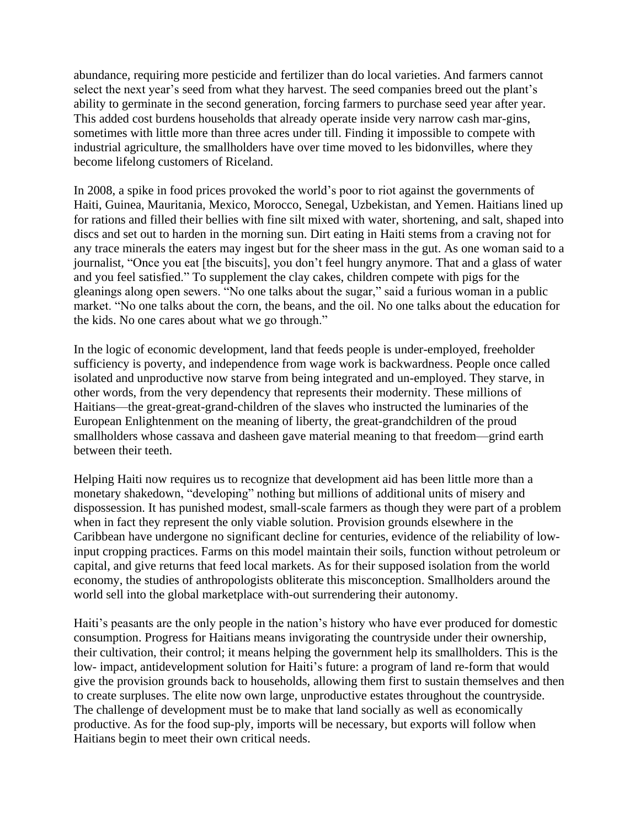abundance, requiring more pesticide and fertilizer than do local varieties. And farmers cannot select the next year's seed from what they harvest. The seed companies breed out the plant's ability to germinate in the second generation, forcing farmers to purchase seed year after year. This added cost burdens households that already operate inside very narrow cash mar-gins, sometimes with little more than three acres under till. Finding it impossible to compete with industrial agriculture, the smallholders have over time moved to les bidonvilles, where they become lifelong customers of Riceland.

In 2008, a spike in food prices provoked the world"s poor to riot against the governments of Haiti, Guinea, Mauritania, Mexico, Morocco, Senegal, Uzbekistan, and Yemen. Haitians lined up for rations and filled their bellies with fine silt mixed with water, shortening, and salt, shaped into discs and set out to harden in the morning sun. Dirt eating in Haiti stems from a craving not for any trace minerals the eaters may ingest but for the sheer mass in the gut. As one woman said to a journalist, "Once you eat [the biscuits], you don"t feel hungry anymore. That and a glass of water and you feel satisfied." To supplement the clay cakes, children compete with pigs for the gleanings along open sewers. "No one talks about the sugar," said a furious woman in a public market. "No one talks about the corn, the beans, and the oil. No one talks about the education for the kids. No one cares about what we go through."

In the logic of economic development, land that feeds people is under-employed, freeholder sufficiency is poverty, and independence from wage work is backwardness. People once called isolated and unproductive now starve from being integrated and un-employed. They starve, in other words, from the very dependency that represents their modernity. These millions of Haitians—the great-great-grand-children of the slaves who instructed the luminaries of the European Enlightenment on the meaning of liberty, the great-grandchildren of the proud smallholders whose cassava and dasheen gave material meaning to that freedom—grind earth between their teeth.

Helping Haiti now requires us to recognize that development aid has been little more than a monetary shakedown, "developing" nothing but millions of additional units of misery and dispossession. It has punished modest, small-scale farmers as though they were part of a problem when in fact they represent the only viable solution. Provision grounds elsewhere in the Caribbean have undergone no significant decline for centuries, evidence of the reliability of lowinput cropping practices. Farms on this model maintain their soils, function without petroleum or capital, and give returns that feed local markets. As for their supposed isolation from the world economy, the studies of anthropologists obliterate this misconception. Smallholders around the world sell into the global marketplace with-out surrendering their autonomy.

Haiti"s peasants are the only people in the nation"s history who have ever produced for domestic consumption. Progress for Haitians means invigorating the countryside under their ownership, their cultivation, their control; it means helping the government help its smallholders. This is the low- impact, antidevelopment solution for Haiti"s future: a program of land re-form that would give the provision grounds back to households, allowing them first to sustain themselves and then to create surpluses. The elite now own large, unproductive estates throughout the countryside. The challenge of development must be to make that land socially as well as economically productive. As for the food sup-ply, imports will be necessary, but exports will follow when Haitians begin to meet their own critical needs.